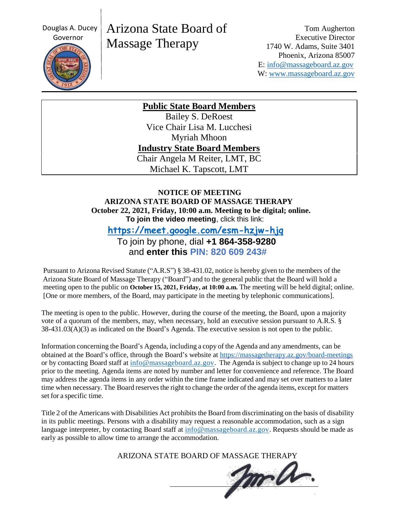Douglas A. Ducey



# Arizona State Board of Massage Therapy

Tom Augherton Executive Director 1740 W. Adams, Suite 3401 Phoenix, Arizona 85007 E: [info@massageboard.az.gov](mailto:info@massageboard.az.gov) W: [www.massageboard.az.gov](http://www.massageboard.az.gov/)

**Public State Board Members**

Bailey S. DeRoest Vice Chair Lisa M. Lucchesi Myriah Mhoon **Industry State Board Members** Chair Angela M Reiter, LMT, BC Michael K. Tapscott, LMT

#### **NOTICE OF MEETING ARIZONA STATE BOARD OF MASSAGE THERAPY October 22, 2021, Friday, 10:00 a.m. Meeting to be digital; online. To join the video meeting**, click this link:

 **<https://meet.google.com/esm-hzjw-hjq>**

 To join by phone, dial **+1 864-358-9280** and **enter this PIN: 820 609 243#**

Pursuant to Arizona Revised Statute ("A.R.S") § 38-431.02, notice is hereby given to the members of the Arizona State Board of Massage Therapy ("Board") and to the general public that the Board will hold a meeting open to the public on **October 15, 2021, Friday, at 10:00 a.m.** The meeting will be held digital; online. [One or more members, of the Board, may participate in the meeting by telephonic communications].

The meeting is open to the public. However, during the course of the meeting, the Board, upon a majority vote of a quorum of the members, may, when necessary, hold an executive session pursuant to A.R.S. § 38-431.03(A)(3) as indicated on the Board's Agenda. The executive session is not open to the public.

Information concerning the Board's Agenda, including a copy of the Agenda and any amendments, can be obtained at the Board's office, through the Board's website at<https://massagetherapy.az.gov/board-meetings> or by contacting Board staff at [info@massageboard.az.gov.](mailto:info@massageboard.az.gov) The Agenda is subject to change up to 24 hours prior to the meeting. Agenda items are noted by number and letter for convenience and reference. The Board may address the agenda items in any order within the time frame indicated and may set over matters to a later time when necessary. The Board reserves the right to change the order of the agenda items, except for matters set for a specific time.

Title 2 of the Americans with Disabilities Act prohibits the Board from discriminating on the basis of disability in its public meetings. Persons with a disability may request a reasonable accommodation, such as a sign language interpreter, by contacting Board staff at  $\frac{info@massageboard.az.gov}$ . Requests should be made as early as possible to allow time to arrange the accommodation.

ARIZONA STATE BOARD OF MASSAGE THERAPY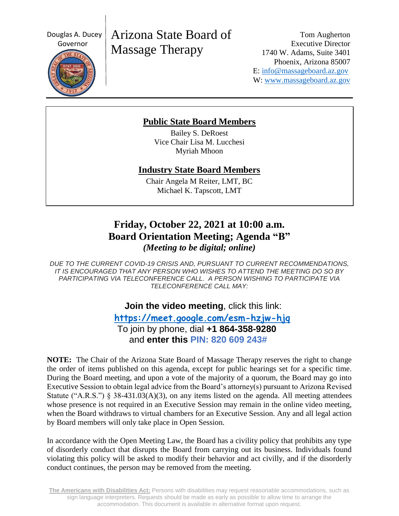Douglas A. Ducey



# Arizona State Board of Massage Therapy

Tom Augherton Executive Director 1740 W. Adams, Suite 3401 Phoenix, Arizona 85007 E: [info@massageboard.az.gov](mailto:info@massageboard.az.gov) W: [www.massageboard.az.gov](http://www.massageboard.az.gov/)

### **Public State Board Members**

Bailey S. DeRoest Vice Chair Lisa M. Lucchesi Myriah Mhoon

### **Industry State Board Members**

Chair Angela M Reiter, LMT, BC Michael K. Tapscott, LMT

## **Friday, October 22, 2021 at 10:00 a.m. Board Orientation Meeting; Agenda "B"** *(Meeting to be digital; online)*

*DUE TO THE CURRENT COVID-19 CRISIS AND, PURSUANT TO CURRENT RECOMMENDATIONS, IT IS ENCOURAGED THAT ANY PERSON WHO WISHES TO ATTEND THE MEETING DO SO BY PARTICIPATING VIA TELECONFERENCE CALL. A PERSON WISHING TO PARTICIPATE VIA TELECONFERENCE CALL MAY:*

## **Join the video meeting**, click this link:

 **<https://meet.google.com/esm-hzjw-hjq>** To join by phone, dial **+1 864-358-9280** and **enter this PIN: 820 609 243#**

**NOTE:** The Chair of the Arizona State Board of Massage Therapy reserves the right to change the order of items published on this agenda, except for public hearings set for a specific time. During the Board meeting, and upon a vote of the majority of a quorum, the Board may go into Executive Session to obtain legal advice from the Board's attorney(s) pursuant to Arizona Revised Statute ("A.R.S.")  $\S$  38-431.03(A)(3), on any items listed on the agenda. All meeting attendees whose presence is not required in an Executive Session may remain in the online video meeting, when the Board withdraws to virtual chambers for an Executive Session. Any and all legal action by Board members will only take place in Open Session.

In accordance with the Open Meeting Law, the Board has a civility policy that prohibits any type of disorderly conduct that disrupts the Board from carrying out its business. Individuals found violating this policy will be asked to modify their behavior and act civilly, and if the disorderly conduct continues, the person may be removed from the meeting.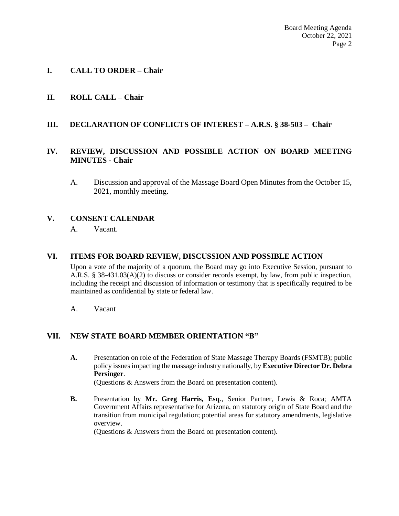#### **I. CALL TO ORDER – Chair**

#### **II. ROLL CALL – Chair**

#### **III. DECLARATION OF CONFLICTS OF INTEREST – A.R.S. § 38-503 – Chair**

#### **IV. REVIEW, DISCUSSION AND POSSIBLE ACTION ON BOARD MEETING MINUTES - Chair**

A. Discussion and approval of the Massage Board Open Minutes from the October 15, 2021, monthly meeting.

#### **V. CONSENT CALENDAR**

A. Vacant.

#### **VI. ITEMS FOR BOARD REVIEW, DISCUSSION AND POSSIBLE ACTION**

Upon a vote of the majority of a quorum, the Board may go into Executive Session, pursuant to A.R.S. § 38-431.03(A)(2) to discuss or consider records exempt, by law, from public inspection, including the receipt and discussion of information or testimony that is specifically required to be maintained as confidential by state or federal law.

A. Vacant

#### **VII. NEW STATE BOARD MEMBER ORIENTATION "B"**

**A.** Presentation on role of the Federation of State Massage Therapy Boards (FSMTB); public policy issues impacting the massage industry nationally, by **Executive Director Dr. Debra Persinger**.

(Questions & Answers from the Board on presentation content).

**B.** Presentation by **Mr. Greg Harris, Esq**., Senior Partner, Lewis & Roca; AMTA Government Affairs representative for Arizona, on statutory origin of State Board and the transition from municipal regulation; potential areas for statutory amendments, legislative overview.

(Questions & Answers from the Board on presentation content).